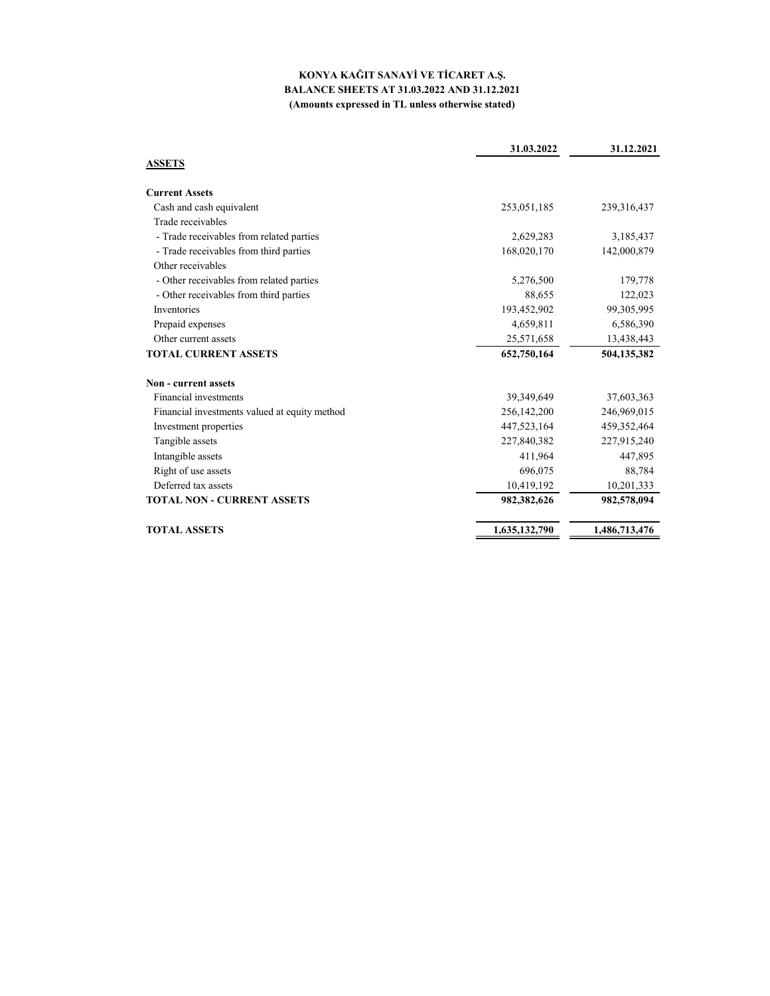### **KONYA KAĞIT SANAYİ VE TİCARET A.Ş. BALANCE SHEETS AT 31.03.2022 AND 31.12.2021 (Amounts expressed in TL unless otherwise stated)**

|                                               | 31.03.2022    | 31.12.2021    |
|-----------------------------------------------|---------------|---------------|
| <b>ASSETS</b>                                 |               |               |
| <b>Current Assets</b>                         |               |               |
| Cash and cash equivalent                      | 253,051,185   | 239, 316, 437 |
| Trade receivables                             |               |               |
| - Trade receivables from related parties      | 2,629,283     | 3,185,437     |
| - Trade receivables from third parties        | 168,020,170   | 142,000,879   |
| Other receivables                             |               |               |
| - Other receivables from related parties      | 5,276,500     | 179,778       |
| - Other receivables from third parties        | 88,655        | 122,023       |
| Inventories                                   | 193,452,902   | 99,305,995    |
| Prepaid expenses                              | 4,659,811     | 6,586,390     |
| Other current assets                          | 25,571,658    | 13,438,443    |
| <b>TOTAL CURRENT ASSETS</b>                   | 652,750,164   | 504,135,382   |
| Non - current assets                          |               |               |
| Financial investments                         | 39,349,649    | 37,603,363    |
| Financial investments valued at equity method | 256,142,200   | 246,969,015   |
| Investment properties                         | 447,523,164   | 459,352,464   |
| Tangible assets                               | 227,840,382   | 227,915,240   |
| Intangible assets                             | 411,964       | 447,895       |
| Right of use assets                           | 696,075       | 88,784        |
| Deferred tax assets                           | 10,419,192    | 10,201,333    |
| <b>TOTAL NON - CURRENT ASSETS</b>             | 982,382,626   | 982,578,094   |
| <b>TOTAL ASSETS</b>                           | 1,635,132,790 | 1,486,713,476 |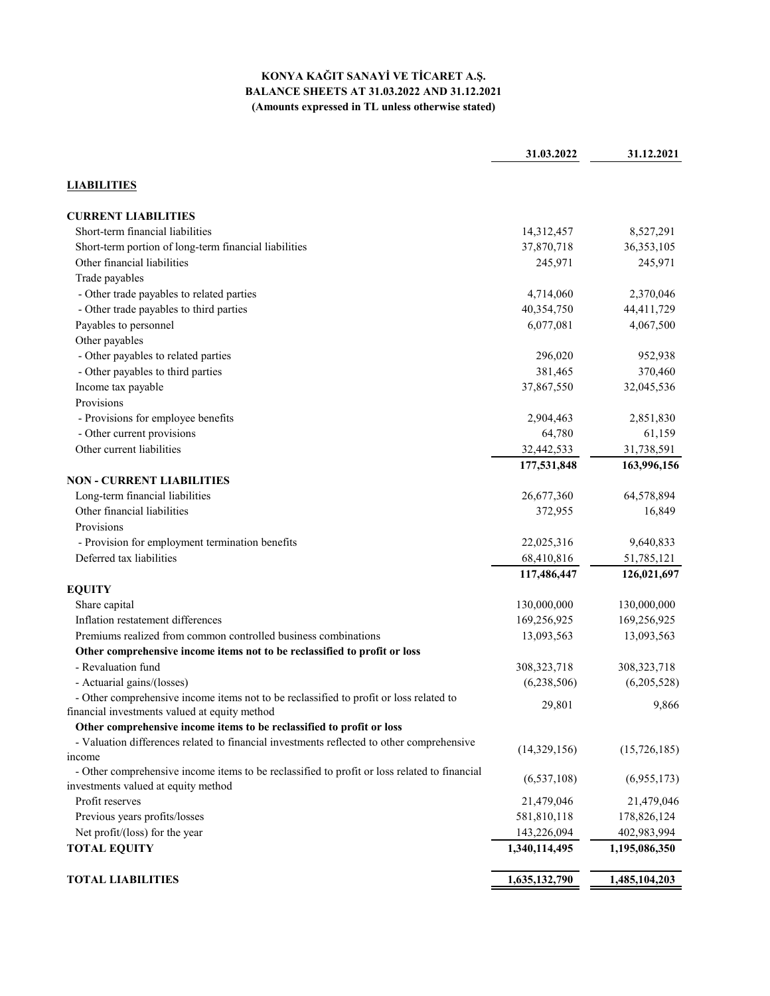## **KONYA KAĞIT SANAYİ VE TİCARET A.Ş. BALANCE SHEETS AT 31.03.2022 AND 31.12.2021 (Amounts expressed in TL unless otherwise stated)**

|                                                                                                        | 31.03.2022               | 31.12.2021    |
|--------------------------------------------------------------------------------------------------------|--------------------------|---------------|
| <b>LIABILITIES</b>                                                                                     |                          |               |
| <b>CURRENT LIABILITIES</b>                                                                             |                          |               |
| Short-term financial liabilities                                                                       | 14,312,457               | 8,527,291     |
| Short-term portion of long-term financial liabilities                                                  | 37,870,718               | 36,353,105    |
| Other financial liabilities                                                                            | 245,971                  | 245,971       |
| Trade payables                                                                                         |                          |               |
| - Other trade payables to related parties                                                              | 4,714,060                | 2,370,046     |
| - Other trade payables to third parties                                                                | 40,354,750               | 44,411,729    |
| Payables to personnel                                                                                  | 6,077,081                | 4,067,500     |
| Other payables                                                                                         |                          |               |
| - Other payables to related parties                                                                    | 296,020                  | 952,938       |
| - Other payables to third parties                                                                      | 381,465                  | 370,460       |
| Income tax payable                                                                                     | 37,867,550               | 32,045,536    |
| Provisions                                                                                             |                          |               |
| - Provisions for employee benefits                                                                     | 2,904,463                | 2,851,830     |
| - Other current provisions                                                                             | 64,780                   | 61,159        |
| Other current liabilities                                                                              | 32,442,533               | 31,738,591    |
|                                                                                                        | 177,531,848              | 163,996,156   |
| <b>NON - CURRENT LIABILITIES</b>                                                                       |                          |               |
| Long-term financial liabilities                                                                        | 26,677,360               | 64,578,894    |
| Other financial liabilities                                                                            | 372,955                  | 16,849        |
| Provisions                                                                                             |                          |               |
|                                                                                                        |                          | 9,640,833     |
| - Provision for employment termination benefits<br>Deferred tax liabilities                            | 22,025,316<br>68,410,816 |               |
|                                                                                                        |                          | 51,785,121    |
|                                                                                                        | 117,486,447              | 126,021,697   |
| <b>EQUITY</b>                                                                                          |                          |               |
| Share capital                                                                                          | 130,000,000              | 130,000,000   |
| Inflation restatement differences                                                                      | 169,256,925              | 169,256,925   |
| Premiums realized from common controlled business combinations                                         | 13,093,563               | 13,093,563    |
| Other comprehensive income items not to be reclassified to profit or loss                              |                          |               |
| - Revaluation fund                                                                                     | 308, 323, 718            | 308, 323, 718 |
| - Actuarial gains/(losses)                                                                             | (6,238,506)              | (6,205,528)   |
| - Other comprehensive income items not to be reclassified to profit or loss related to                 | 29,801                   | 9,866         |
| financial investments valued at equity method                                                          |                          |               |
| Other comprehensive income items to be reclassified to profit or loss                                  |                          |               |
| - Valuation differences related to financial investments reflected to other comprehensive              | (14,329,156)             | (15,726,185)  |
| income<br>- Other comprehensive income items to be reclassified to profit or loss related to financial |                          |               |
| investments valued at equity method                                                                    | (6,537,108)              | (6,955,173)   |
| Profit reserves                                                                                        | 21,479,046               | 21,479,046    |
| Previous years profits/losses                                                                          | 581,810,118              | 178,826,124   |
| Net profit/(loss) for the year                                                                         | 143,226,094              | 402,983,994   |
| <b>TOTAL EQUITY</b>                                                                                    | 1,340,114,495            | 1,195,086,350 |
|                                                                                                        |                          |               |
| <b>TOTAL LIABILITIES</b>                                                                               | 1,635,132,790            | 1,485,104,203 |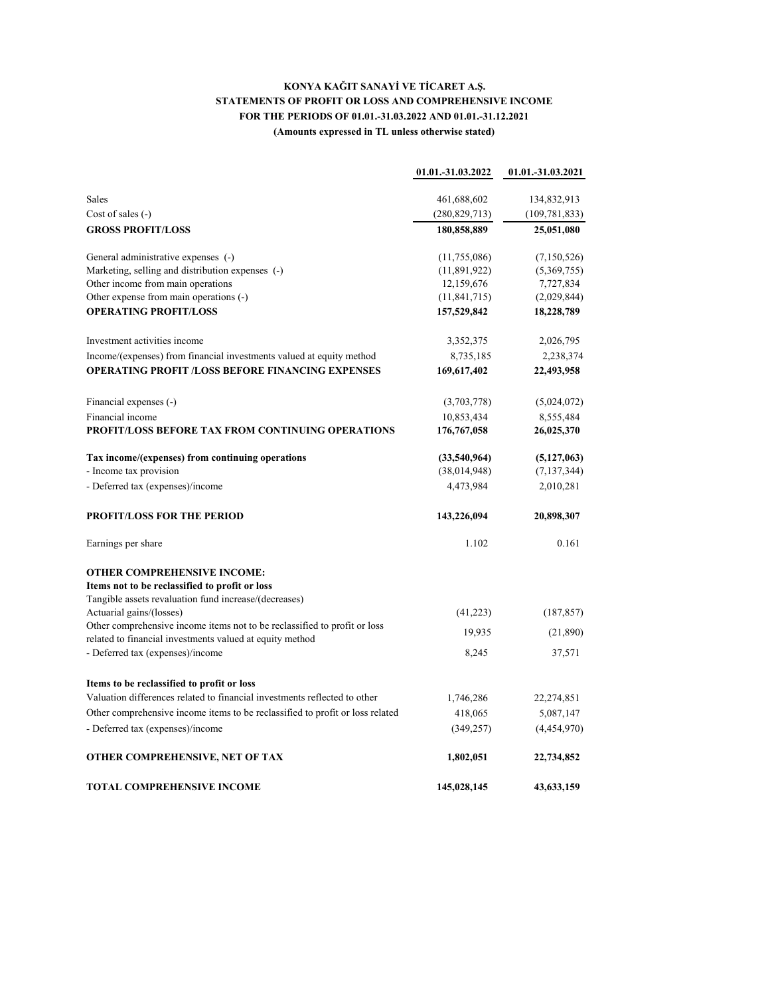## **KONYA KAĞIT SANAYİ VE TİCARET A.Ş. STATEMENTS OF PROFIT OR LOSS AND COMPREHENSIVE INCOME FOR THE PERIODS OF 01.01.-31.03.2022 AND 01.01.-31.12.2021 (Amounts expressed in TL unless otherwise stated)**

|                                                                                                                                       | 01.01.-31.03.2022 | 01.01.-31.03.2021 |
|---------------------------------------------------------------------------------------------------------------------------------------|-------------------|-------------------|
| Sales                                                                                                                                 | 461,688,602       | 134,832,913       |
| Cost of sales $(-)$                                                                                                                   | (280, 829, 713)   | (109, 781, 833)   |
| <b>GROSS PROFIT/LOSS</b>                                                                                                              | 180,858,889       | 25,051,080        |
| General administrative expenses (-)                                                                                                   | (11,755,086)      | (7,150,526)       |
| Marketing, selling and distribution expenses (-)                                                                                      | (11,891,922)      | (5,369,755)       |
| Other income from main operations                                                                                                     | 12,159,676        | 7,727,834         |
| Other expense from main operations (-)                                                                                                | (11, 841, 715)    | (2,029,844)       |
| <b>OPERATING PROFIT/LOSS</b>                                                                                                          | 157,529,842       | 18,228,789        |
| Investment activities income                                                                                                          | 3,352,375         | 2,026,795         |
| Income/(expenses) from financial investments valued at equity method                                                                  | 8,735,185         | 2,238,374         |
| <b>OPERATING PROFIT /LOSS BEFORE FINANCING EXPENSES</b>                                                                               | 169,617,402       | 22,493,958        |
| Financial expenses (-)                                                                                                                | (3,703,778)       | (5,024,072)       |
| Financial income                                                                                                                      | 10,853,434        | 8,555,484         |
| <b>PROFIT/LOSS BEFORE TAX FROM CONTINUING OPERATIONS</b>                                                                              | 176,767,058       | 26,025,370        |
| Tax income/(expenses) from continuing operations                                                                                      | (33,540,964)      | (5,127,063)       |
| - Income tax provision                                                                                                                | (38,014,948)      | (7, 137, 344)     |
| - Deferred tax (expenses)/income                                                                                                      | 4,473,984         | 2,010,281         |
| <b>PROFIT/LOSS FOR THE PERIOD</b>                                                                                                     | 143,226,094       | 20,898,307        |
| Earnings per share                                                                                                                    | 1.102             | 0.161             |
| <b>OTHER COMPREHENSIVE INCOME:</b>                                                                                                    |                   |                   |
| Items not to be reclassified to profit or loss                                                                                        |                   |                   |
| Tangible assets revaluation fund increase/(decreases)                                                                                 |                   |                   |
| Actuarial gains/(losses)                                                                                                              | (41,223)          | (187, 857)        |
| Other comprehensive income items not to be reclassified to profit or loss<br>related to financial investments valued at equity method | 19,935            | (21,890)          |
| - Deferred tax (expenses)/income                                                                                                      | 8,245             | 37,571            |
| Items to be reclassified to profit or loss                                                                                            |                   |                   |
| Valuation differences related to financial investments reflected to other                                                             | 1,746,286         | 22,274,851        |
| Other comprehensive income items to be reclassified to profit or loss related                                                         | 418,065           | 5,087,147         |
| - Deferred tax (expenses)/income                                                                                                      | (349, 257)        | (4,454,970)       |
| OTHER COMPREHENSIVE, NET OF TAX                                                                                                       | 1,802,051         | 22,734,852        |
| TOTAL COMPREHENSIVE INCOME                                                                                                            | 145,028,145       | 43,633,159        |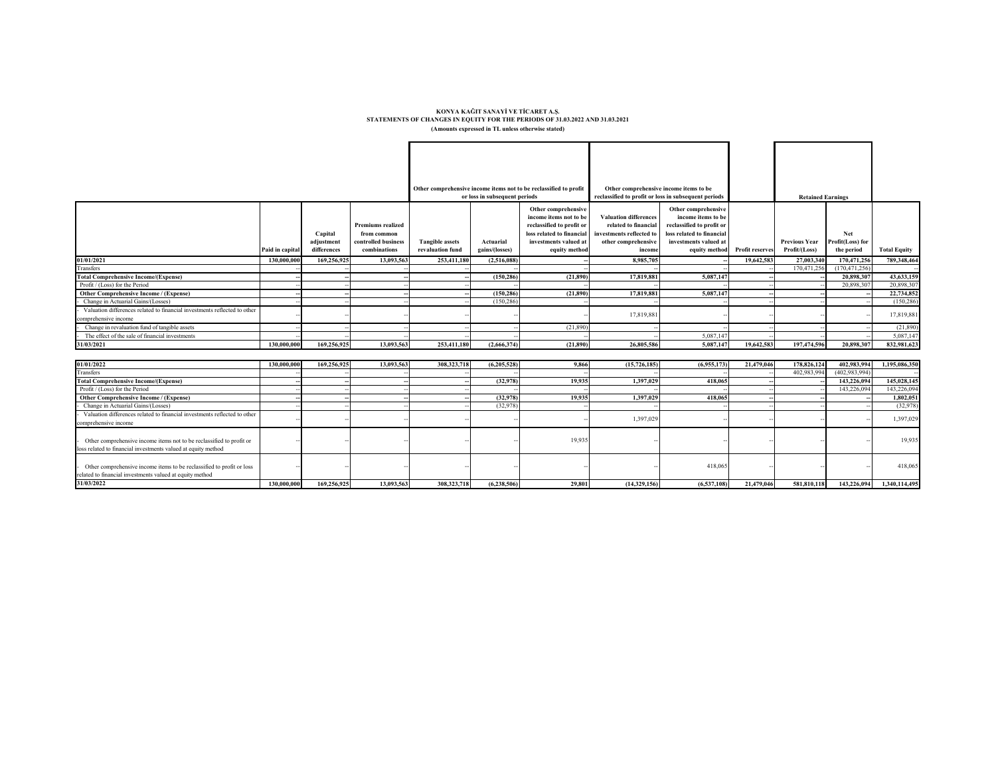#### KONYA KAĞIT SANAYİ VE TİCARET A.Ş.<br>STATEMENTS OF CHANGES IN EQUITY FOR THE PERIODS OF 31.03.2022 AND 31.03.2021 **(Amounts expressed in TL unless otherwise stated)**

|                                                                                                                                              |                 |                                      |                                                                                | Other comprehensive income items not to be reclassified to profit<br>or loss in subsequent periods |                             | Other comprehensive income items to be<br>reclassified to profit or loss in subsequent periods                                                    |                                                                                                                   |                                                                                                                                               | <b>Retained Earnings</b> |                                       |                                       |                     |
|----------------------------------------------------------------------------------------------------------------------------------------------|-----------------|--------------------------------------|--------------------------------------------------------------------------------|----------------------------------------------------------------------------------------------------|-----------------------------|---------------------------------------------------------------------------------------------------------------------------------------------------|-------------------------------------------------------------------------------------------------------------------|-----------------------------------------------------------------------------------------------------------------------------------------------|--------------------------|---------------------------------------|---------------------------------------|---------------------|
|                                                                                                                                              | Paid in capital | Capital<br>adjustment<br>differences | <b>Premiums realized</b><br>from common<br>controlled business<br>combinations | <b>Tangible assets</b><br>revaluation fund                                                         | Actuarial<br>gains/(losses) | Other comprehensive<br>income items not to be<br>reclassified to profit or<br>loss related to financial<br>investments valued at<br>equity method | <b>Valuation differences</b><br>related to financial<br>investments reflected to<br>other comprehensive<br>income | Other comprehensive<br>income items to be<br>reclassified to profit or<br>loss related to financial<br>investments valued at<br>equity method | Profit reserves          | <b>Previous Year</b><br>Profit/(Loss) | Net<br>Profit(Loss) for<br>the period | <b>Total Equity</b> |
| 01/01/2021                                                                                                                                   | 130,000,000     | 169,256,925                          | 13,093,563                                                                     | 253,411,180                                                                                        | (2,516,088)                 |                                                                                                                                                   | 8.985.705                                                                                                         |                                                                                                                                               | 19,642,583               | 27,003,340                            | 170,471,256                           | 789,348,464         |
| Transfers                                                                                                                                    |                 |                                      |                                                                                |                                                                                                    |                             |                                                                                                                                                   |                                                                                                                   |                                                                                                                                               |                          | 170,471,256                           | (170, 471, 256)                       |                     |
| <b>Total Comprehensive Income/(Expense)</b>                                                                                                  |                 |                                      |                                                                                |                                                                                                    | (150.286)                   | (21.890)                                                                                                                                          | 17,819,881                                                                                                        | 5.087,147                                                                                                                                     |                          |                                       | 20,898,307                            | 43,633,159          |
| Profit / (Loss) for the Period                                                                                                               |                 |                                      |                                                                                |                                                                                                    |                             |                                                                                                                                                   |                                                                                                                   |                                                                                                                                               |                          |                                       | 20,898,307                            | 20,898.30           |
| Other Comprehensive Income / (Expense)                                                                                                       |                 |                                      |                                                                                |                                                                                                    | (150, 286)                  | (21,890)                                                                                                                                          | 17,819,881                                                                                                        | 5,087,147                                                                                                                                     |                          |                                       |                                       | 22,734,852          |
| Change in Actuarial Gains/(Losses)                                                                                                           |                 |                                      |                                                                                |                                                                                                    | (150, 286)                  |                                                                                                                                                   |                                                                                                                   |                                                                                                                                               |                          |                                       |                                       | (150, 286)          |
| Valuation differences related to financial investments reflected to other                                                                    |                 |                                      |                                                                                |                                                                                                    |                             |                                                                                                                                                   | 17,819,881                                                                                                        |                                                                                                                                               |                          |                                       |                                       | 17,819,881          |
| comprehensive income                                                                                                                         |                 |                                      |                                                                                |                                                                                                    |                             |                                                                                                                                                   |                                                                                                                   |                                                                                                                                               |                          |                                       |                                       |                     |
| Change in revaluation fund of tangible assets                                                                                                |                 |                                      |                                                                                |                                                                                                    |                             | (21,890)                                                                                                                                          |                                                                                                                   |                                                                                                                                               |                          |                                       |                                       | (21,890)            |
| The effect of the sale of financial investments                                                                                              |                 |                                      |                                                                                |                                                                                                    |                             |                                                                                                                                                   |                                                                                                                   | 5,087,147                                                                                                                                     |                          |                                       |                                       | 5,087,14            |
| 31/03/2021                                                                                                                                   | 130,000,000     | 169,256,925                          | 13,093,563                                                                     | 253,411,180                                                                                        | (2,666,374)                 | (21,890)                                                                                                                                          | 26,805,586                                                                                                        | 5,087,147                                                                                                                                     | 19,642,583               | 197,474,596                           | 20,898,307                            | 832,981,623         |
|                                                                                                                                              |                 |                                      |                                                                                |                                                                                                    |                             |                                                                                                                                                   |                                                                                                                   |                                                                                                                                               |                          |                                       |                                       |                     |
| 01/01/2022<br>Transfers                                                                                                                      | 130,000,000     | 169,256,925                          | 13,093,563                                                                     | 308,323,718                                                                                        | (6,205,528)                 | 9,866                                                                                                                                             | (15, 726, 185)                                                                                                    | (6,955,173)                                                                                                                                   | 21,479,046               | 178,826,124                           | 402,983,994                           | 1,195,086,350       |
|                                                                                                                                              |                 |                                      |                                                                                |                                                                                                    |                             |                                                                                                                                                   |                                                                                                                   |                                                                                                                                               |                          | 402,983,994                           | (402,983,994                          |                     |
| <b>Total Comprehensive Income/(Expense)</b>                                                                                                  |                 |                                      |                                                                                |                                                                                                    | (32,978)                    | 19.935                                                                                                                                            | 1.397.029                                                                                                         | 418,065                                                                                                                                       |                          |                                       | 143,226,094                           | 145,028,145         |
| Profit / (Loss) for the Period                                                                                                               |                 |                                      |                                                                                |                                                                                                    |                             |                                                                                                                                                   |                                                                                                                   |                                                                                                                                               |                          |                                       | 143,226,09                            | 143.226.09          |
| Other Comprehensive Income / (Expense)                                                                                                       |                 |                                      |                                                                                |                                                                                                    | (32.978)                    | 19,935                                                                                                                                            | 1,397,029                                                                                                         | 418,065                                                                                                                                       |                          |                                       |                                       | 1,802,051           |
| Change in Actuarial Gains/(Losses)                                                                                                           |                 |                                      |                                                                                |                                                                                                    | (32.978)                    |                                                                                                                                                   |                                                                                                                   |                                                                                                                                               |                          |                                       |                                       | (32,978)            |
| Valuation differences related to financial investments reflected to other                                                                    |                 |                                      |                                                                                |                                                                                                    |                             |                                                                                                                                                   | 1,397,029                                                                                                         |                                                                                                                                               |                          |                                       |                                       | 1,397,029           |
| comprehensive income                                                                                                                         |                 |                                      |                                                                                |                                                                                                    |                             |                                                                                                                                                   |                                                                                                                   |                                                                                                                                               |                          |                                       |                                       |                     |
| Other comprehensive income items not to be reclassified to profit or<br>loss related to financial investments valued at equity method        |                 |                                      |                                                                                |                                                                                                    |                             | 19,935                                                                                                                                            |                                                                                                                   |                                                                                                                                               |                          |                                       |                                       | 19,935              |
| Other comprehensive income items to be reclassified to profit or loss<br>related to financial investments valued at equity method 31/03/2022 |                 |                                      |                                                                                |                                                                                                    |                             |                                                                                                                                                   |                                                                                                                   | 418,065                                                                                                                                       |                          |                                       |                                       | 418,065             |
|                                                                                                                                              | 130,000,000     | 169,256,925                          | 13,093,563                                                                     | 308,323,718                                                                                        | (6.238.506)                 | 29,801                                                                                                                                            | (14,329,156)                                                                                                      | (6,537,108)                                                                                                                                   | 21.479.046               | 581,810,118                           | 143,226,094                           | 1,340,114,495       |